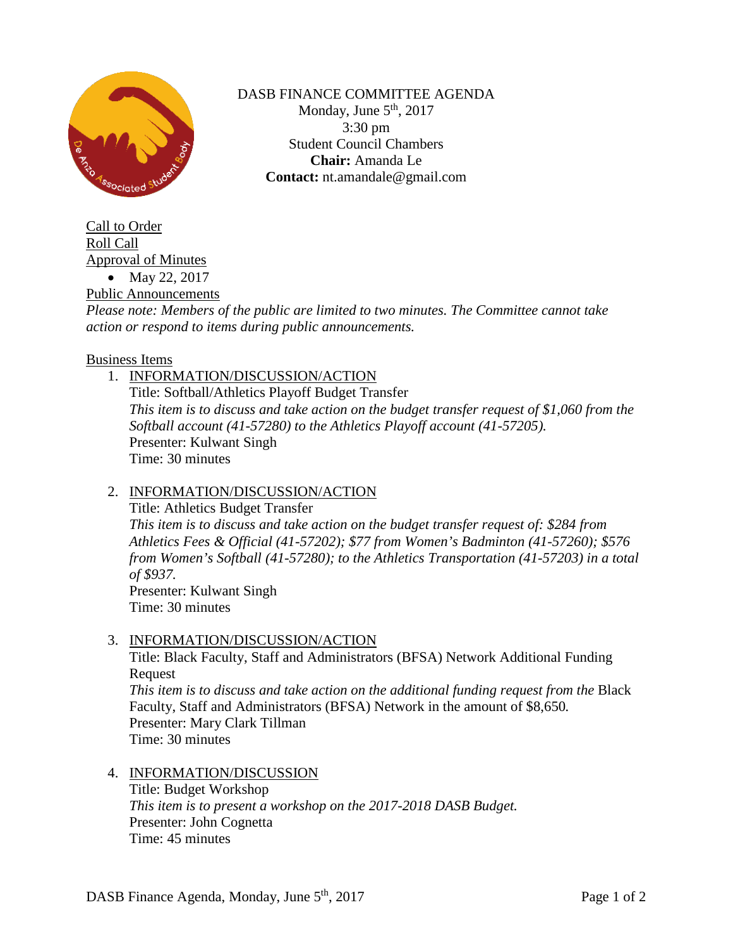

DASB FINANCE COMMITTEE AGENDA Monday, June  $5<sup>th</sup>$ , 2017 3:30 pm Student Council Chambers **Chair:** Amanda Le **Contact:** nt.amandale@gmail.com

Call to Order Roll Call Approval of Minutes • May 22, 2017

Public Announcements

*Please note: Members of the public are limited to two minutes. The Committee cannot take action or respond to items during public announcements.* 

#### Business Items

1. INFORMATION/DISCUSSION/ACTION Title: Softball/Athletics Playoff Budget Transfer *This item is to discuss and take action on the budget transfer request of \$1,060 from the Softball account (41-57280) to the Athletics Playoff account (41-57205).* Presenter: Kulwant Singh Time: 30 minutes

### 2. INFORMATION/DISCUSSION/ACTION

Title: Athletics Budget Transfer *This item is to discuss and take action on the budget transfer request of: \$284 from Athletics Fees & Official (41-57202); \$77 from Women's Badminton (41-57260); \$576 from Women's Softball (41-57280); to the Athletics Transportation (41-57203) in a total of \$937.* Presenter: Kulwant Singh Time: 30 minutes

### 3. INFORMATION/DISCUSSION/ACTION

Title: Black Faculty, Staff and Administrators (BFSA) Network Additional Funding Request *This item is to discuss and take action on the additional funding request from the* Black Faculty, Staff and Administrators (BFSA) Network in the amount of \$8,650*.* Presenter: Mary Clark Tillman Time: 30 minutes

# 4. INFORMATION/DISCUSSION

Title: Budget Workshop *This item is to present a workshop on the 2017-2018 DASB Budget.* Presenter: John Cognetta Time: 45 minutes